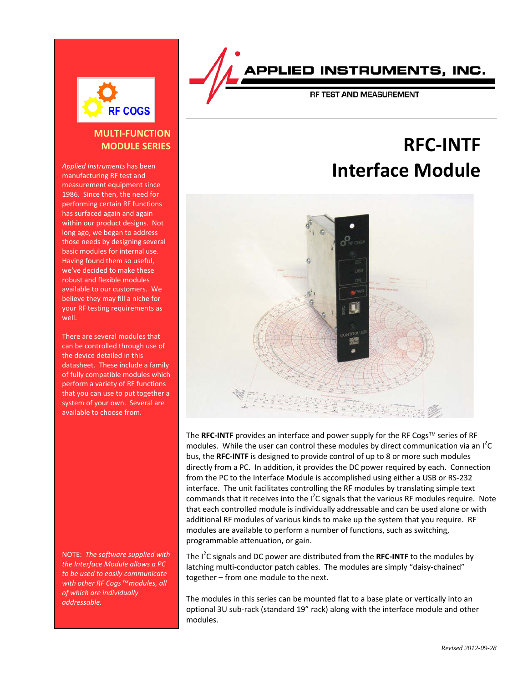

#### **MULTI-FUNCTION MODULE SERIES**

*Applied Instruments* has been manufacturing RF test and measurement equipment since 1986. Since then, the need for performing certain RF functions has surfaced again and again within our product designs. Not long ago, we began to address those needs by designing several basic modules for internal use. Having found them so useful, we've decided to make these robust and flexible modules available to our customers. We believe they may fill a niche for your RF testing requirements as well.

There are several modules that can be controlled through use of the device detailed in this datasheet. These include a family of fully compatible modules which perform a variety of RF functions that you can use to put together a system of your own. Several are available to choose from.

NOTE: *The software supplied with the Interface Module allows a PC to be used to easily communicate with other RF Cogs™modules, all of which are individually addressable.*

### PPLIED INSTRUMENTS, INC.

RF TEST AND MEASUREMENT

# **RFC-INTF Interface Module**



The RFC-INTF provides an interface and power supply for the RF Cogs™ series of RF modules. While the user can control these modules by direct communication via an  $I^2C$ bus, the **RFC-INTF** is designed to provide control of up to 8 or more such modules directly from a PC. In addition, it provides the DC power required by each. Connection from the PC to the Interface Module is accomplished using either a USB or RS-232 interface. The unit facilitates controlling the RF modules by translating simple text commands that it receives into the  $I^2C$  signals that the various RF modules require. Note that each controlled module is individually addressable and can be used alone or with additional RF modules of various kinds to make up the system that you require. RF modules are available to perform a number of functions, such as switching, programmable attenuation, or gain.

The I<sup>2</sup>C signals and DC power are distributed from the RFC-INTF to the modules by latching multi-conductor patch cables. The modules are simply "daisy-chained" together – from one module to the next.

The modules in this series can be mounted flat to a base plate or vertically into an optional 3U sub-rack (standard 19" rack) along with the interface module and other modules.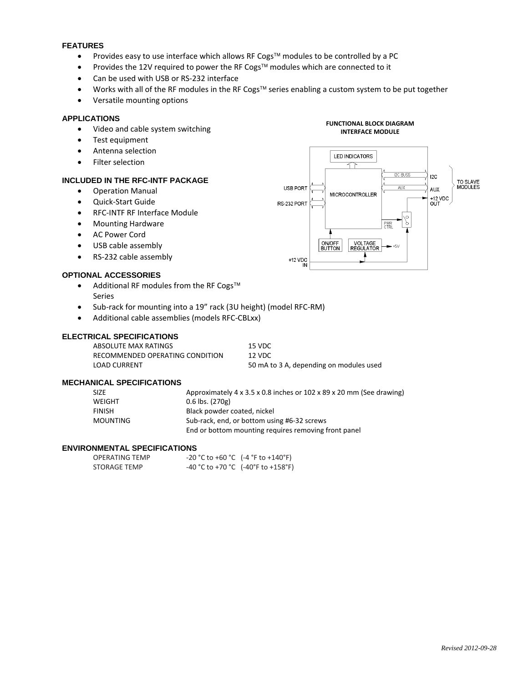#### **FEATURES**

- Provides easy to use interface which allows RF Cogs<sup>™</sup> modules to be controlled by a PC
- Provides the 12V required to power the RF Cogs<sup>™</sup> modules which are connected to it
- Can be used with USB or RS-232 interface
- Works with all of the RF modules in the RF Cogs<sup>TM</sup> series enabling a custom system to be put together
- Versatile mounting options

#### **APPLICATIONS**

- Video and cable system switching
- Test equipment
- Antenna selection
- Filter selection

#### **INCLUDED IN THE RFC-INTF PACKAGE**

- Operation Manual
- Quick-Start Guide
- RFC-INTF RF Interface Module
- Mounting Hardware
- AC Power Cord
- USB cable assembly
- RS-232 cable assembly

#### **OPTIONAL ACCESSORIES**

- Additional RF modules from the RF Cogs™ Series
- Sub-rack for mounting into a 19" rack (3U height) (model RFC-RM)
- Additional cable assemblies (models RFC-CBLxx)

#### **ELECTRICAL SPECIFICATIONS**

| ABSOLUTE MAX RATINGS            | 15 VDC                                  |
|---------------------------------|-----------------------------------------|
| RECOMMENDED OPERATING CONDITION | 12 VDC.                                 |
| LOAD CURRENT                    | 50 mA to 3 A, depending on modules used |

#### **MECHANICAL SPECIFICATIONS**

| <b>SIZE</b>   | Approximately 4 x 3.5 x 0.8 inches or 102 x 89 x 20 mm (See drawing) |
|---------------|----------------------------------------------------------------------|
| WEIGHT        | $0.6$ lbs. $(270g)$                                                  |
| <b>FINISH</b> | Black powder coated, nickel                                          |
| MOUNTING      | Sub-rack, end, or bottom using #6-32 screws                          |
|               | End or bottom mounting requires removing front panel                 |

#### **ENVIRONMENTAL SPECIFICATIONS**

| <b>OPERATING TEMP</b> | $-20$ °C to $+60$ °C (-4 °F to $+140$ °F)                               |
|-----------------------|-------------------------------------------------------------------------|
| STORAGE TEMP          | $-40\degree$ C to +70 $\degree$ C (-40 $\degree$ F to +158 $\degree$ F) |



**FUNCTIONAL BLOCK DIAGRAM**